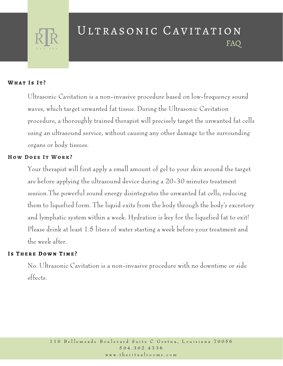

# ULTRASONIC CAVITATION FAQ

#### **Wha t I s I t ?**

Ultrasonic Cavitation is a non-invasive procedure based on low-frequency sound waves, which target unwanted fat tissue. During the Ultrasonic Cavitation procedure, a thoroughly trained therapist will precisely target the unwanted fat cells using an ultrasound service, without causing any other damage to the surrounding organs or body tissues.

# **H o w Do e s I t Wo r k ?**

Your therapist will first apply a small amount of gel to your skin around the target are before applying the ultrasound device during a 20-30 minutes treatment session.The powerful sound energy disintegrates the unwanted fat cells, reducing them to liquefied form. The liquid exits from the body through the body's excretory and lymphatic system within a week. Hydration is key for the liquefied fat to exit! Please drink at least 1.5 liters of water starting a week before your treatment and the week after.

### **I s The r e Do w n T i m e ?**

No. Ultrasonic Cavitation is a non-invasive procedure with no downtime or side effects.